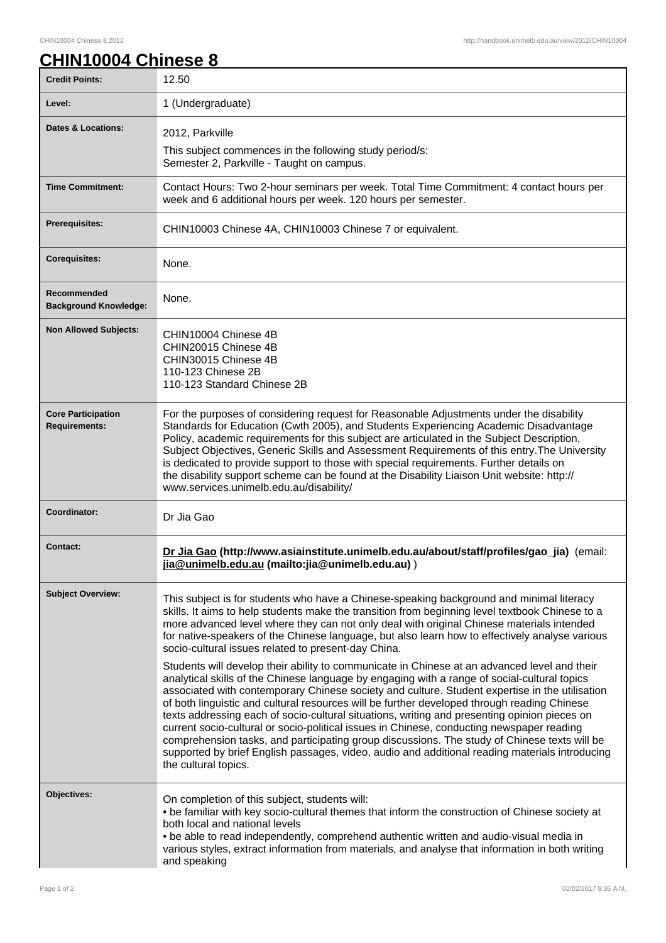٦

## **CHIN10004 Chinese 8**

| <b>Credit Points:</b>                             | 12.50                                                                                                                                                                                                                                                                                                                                                                                                                                                                                                                                                                                                                                                                                                                |
|---------------------------------------------------|----------------------------------------------------------------------------------------------------------------------------------------------------------------------------------------------------------------------------------------------------------------------------------------------------------------------------------------------------------------------------------------------------------------------------------------------------------------------------------------------------------------------------------------------------------------------------------------------------------------------------------------------------------------------------------------------------------------------|
| Level:                                            | 1 (Undergraduate)                                                                                                                                                                                                                                                                                                                                                                                                                                                                                                                                                                                                                                                                                                    |
| Dates & Locations:                                | 2012, Parkville                                                                                                                                                                                                                                                                                                                                                                                                                                                                                                                                                                                                                                                                                                      |
|                                                   | This subject commences in the following study period/s:<br>Semester 2, Parkville - Taught on campus.                                                                                                                                                                                                                                                                                                                                                                                                                                                                                                                                                                                                                 |
| <b>Time Commitment:</b>                           | Contact Hours: Two 2-hour seminars per week. Total Time Commitment: 4 contact hours per<br>week and 6 additional hours per week. 120 hours per semester.                                                                                                                                                                                                                                                                                                                                                                                                                                                                                                                                                             |
| Prerequisites:                                    | CHIN10003 Chinese 4A, CHIN10003 Chinese 7 or equivalent.                                                                                                                                                                                                                                                                                                                                                                                                                                                                                                                                                                                                                                                             |
| <b>Corequisites:</b>                              | None.                                                                                                                                                                                                                                                                                                                                                                                                                                                                                                                                                                                                                                                                                                                |
| Recommended<br><b>Background Knowledge:</b>       | None.                                                                                                                                                                                                                                                                                                                                                                                                                                                                                                                                                                                                                                                                                                                |
| <b>Non Allowed Subjects:</b>                      | CHIN10004 Chinese 4B<br>CHIN20015 Chinese 4B<br>CHIN30015 Chinese 4B<br>110-123 Chinese 2B<br>110-123 Standard Chinese 2B                                                                                                                                                                                                                                                                                                                                                                                                                                                                                                                                                                                            |
| <b>Core Participation</b><br><b>Requirements:</b> | For the purposes of considering request for Reasonable Adjustments under the disability<br>Standards for Education (Cwth 2005), and Students Experiencing Academic Disadvantage<br>Policy, academic requirements for this subject are articulated in the Subject Description,<br>Subject Objectives, Generic Skills and Assessment Requirements of this entry. The University<br>is dedicated to provide support to those with special requirements. Further details on<br>the disability support scheme can be found at the Disability Liaison Unit website: http://<br>www.services.unimelb.edu.au/disability/                                                                                                     |
| Coordinator:                                      | Dr Jia Gao                                                                                                                                                                                                                                                                                                                                                                                                                                                                                                                                                                                                                                                                                                           |
| <b>Contact:</b>                                   | Dr Jia Gao (http://www.asiainstitute.unimelb.edu.au/about/staff/profiles/gao_jia) (email:<br>jia@unimelb.edu.au (mailto: jia@unimelb.edu.au))                                                                                                                                                                                                                                                                                                                                                                                                                                                                                                                                                                        |
| <b>Subject Overview:</b>                          | This subject is for students who have a Chinese-speaking background and minimal literacy<br>skills. It aims to help students make the transition from beginning level textbook Chinese to a<br>more advanced level where they can not only deal with original Chinese materials intended<br>for native-speakers of the Chinese language, but also learn how to effectively analyse various<br>socio-cultural issues related to present-day China.<br>Students will develop their ability to communicate in Chinese at an advanced level and their                                                                                                                                                                    |
|                                                   | analytical skills of the Chinese language by engaging with a range of social-cultural topics<br>associated with contemporary Chinese society and culture. Student expertise in the utilisation<br>of both linguistic and cultural resources will be further developed through reading Chinese<br>texts addressing each of socio-cultural situations, writing and presenting opinion pieces on<br>current socio-cultural or socio-political issues in Chinese, conducting newspaper reading<br>comprehension tasks, and participating group discussions. The study of Chinese texts will be<br>supported by brief English passages, video, audio and additional reading materials introducing<br>the cultural topics. |
| Objectives:                                       | On completion of this subject, students will:<br>. be familiar with key socio-cultural themes that inform the construction of Chinese society at<br>both local and national levels<br>. be able to read independently, comprehend authentic written and audio-visual media in<br>various styles, extract information from materials, and analyse that information in both writing<br>and speaking                                                                                                                                                                                                                                                                                                                    |